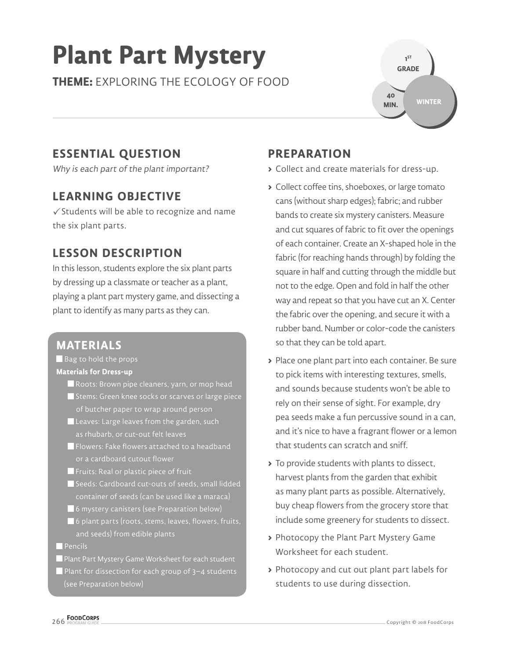# **Plant Part Mystery**

**THEME:** EXPLORING THE ECOLOGY OF FOOD



## **ESSENTIAL QUESTION**

Why is each part of the plant important?

#### **LEARNING OBJECTIVE**

 $\checkmark$  Students will be able to recognize and name the six plant parts.

#### **LESSON DESCRIPTION**

In this lesson, students explore the six plant parts by dressing up a classmate or teacher as a plant, playing a plant part mystery game, and dissecting a plant to identify as many parts as they can.

#### **MATERIALS**

Bag to hold the props **Materials for Dress-up** 

- Roots: Brown pipe cleaners, yarn, or mop head
- Stems: Green knee socks or scarves or large piece of butcher paper to wrap around person
- Leaves: Large leaves from the garden, such as rhubarb, or cut-out felt leaves
- Flowers: Fake flowers attached to a headband or a cardboard cutout flower
- **F** Fruits: Real or plastic piece of fruit
- Seeds: Cardboard cut-outs of seeds, small lidded container of seeds (can be used like a maraca)
- 6 mystery canisters (see Preparation below)
- 6 plant parts (roots, stems, leaves, flowers, fruits, and seeds) from edible plants
- $\blacksquare$  Pencils
- Plant Part Mystery Game Worksheet for each student
- Plant for dissection for each group of 3–4 students (see Preparation below)

#### **PREPARATION**

- **>** Collect and create materials for dress-up.
- **>** Collect coffee tins, shoeboxes, or large tomato cans (without sharp edges); fabric; and rubber bands to create six mystery canisters. Measure and cut squares of fabric to fit over the openings of each container. Create an X-shaped hole in the fabric (for reaching hands through) by folding the square in half and cutting through the middle but not to the edge. Open and fold in half the other way and repeat so that you have cut an X. Center the fabric over the opening, and secure it with a rubber band. Number or color-code the canisters so that they can be told apart.
- **>** Place one plant part into each container. Be sure to pick items with interesting textures, smells, and sounds because students won't be able to rely on their sense of sight. For example, dry pea seeds make a fun percussive sound in a can, and it's nice to have a fragrant flower or a lemon that students can scratch and sniff.
- **>** To provide students with plants to dissect, harvest plants from the garden that exhibit as many plant parts as possible. Alternatively, buy cheap flowers from the grocery store that include some greenery for students to dissect.
- **>** Photocopy the Plant Part Mystery Game Worksheet for each student.
- **>** Photocopy and cut out plant part labels for students to use during dissection.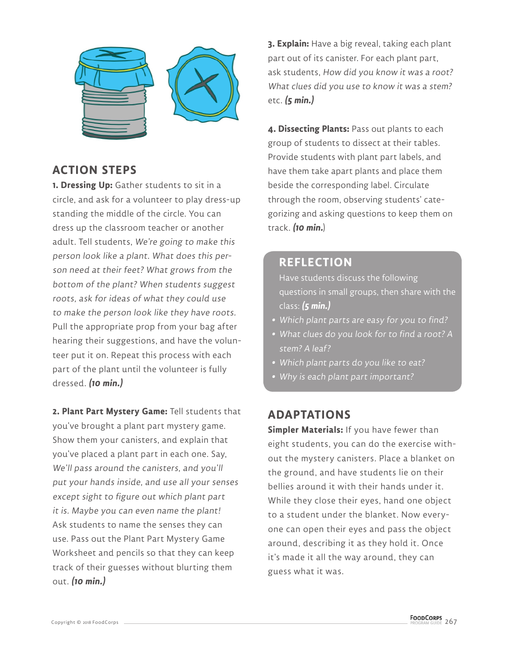

### **ACTION STEPS**

**1. Dressing Up:** Gather students to sit in a circle, and ask for a volunteer to play dress-up standing the middle of the circle. You can dress up the classroom teacher or another adult. Tell students, We're going to make this person look like a plant. What does this person need at their feet? What grows from the bottom of the plant? When students suggest roots, ask for ideas of what they could use to make the person look like they have roots. Pull the appropriate prop from your bag after hearing their suggestions, and have the volunteer put it on. Repeat this process with each part of the plant until the volunteer is fully dressed. **(10 min.)**

**2. Plant Part Mystery Game:** Tell students that you've brought a plant part mystery game. Show them your canisters, and explain that you've placed a plant part in each one. Say, We'll pass around the canisters, and you'll put your hands inside, and use all your senses except sight to figure out which plant part it is. Maybe you can even name the plant! Ask students to name the senses they can use. Pass out the Plant Part Mystery Game Worksheet and pencils so that they can keep track of their guesses without blurting them out. **(10 min.)**

**3. Explain:** Have a big reveal, taking each plant part out of its canister. For each plant part, ask students, How did you know it was a root? What clues did you use to know it was a stem? etc. **(5 min.)**

**4. Dissecting Plants:** Pass out plants to each group of students to dissect at their tables. Provide students with plant part labels, and have them take apart plants and place them beside the corresponding label. Circulate through the room, observing students' categorizing and asking questions to keep them on track. **(10 min.**)

#### **REFLECTION**

Have students discuss the following questions in small groups, then share with the class: **(5 min.)**

- **•** Which plant parts are easy for you to find?
- **•** What clues do you look for to find a root? A stem? A leaf?
- **•** Which plant parts do you like to eat?
- **•** Why is each plant part important?

#### **ADAPTATIONS**

**Simpler Materials:** If you have fewer than eight students, you can do the exercise without the mystery canisters. Place a blanket on the ground, and have students lie on their bellies around it with their hands under it. While they close their eyes, hand one object to a student under the blanket. Now everyone can open their eyes and pass the object around, describing it as they hold it. Once it's made it all the way around, they can guess what it was.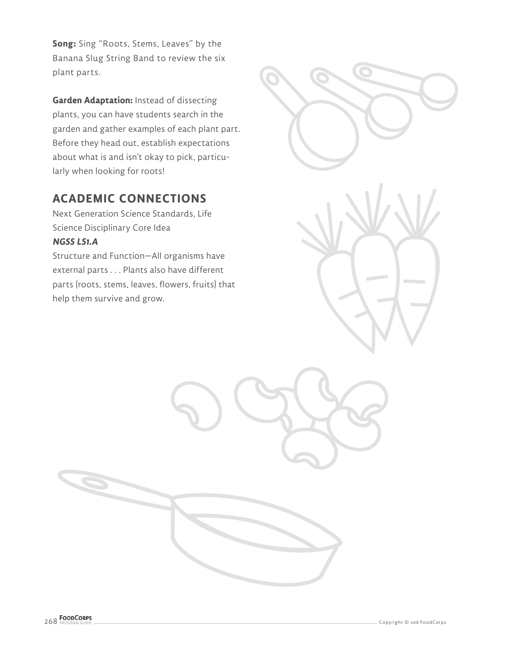**Song:** Sing "Roots, Stems, Leaves" by the Banana Slug String Band to review the six plant parts.

**Garden Adaptation:** Instead of dissecting plants, you can have students search in the garden and gather examples of each plant part. Before they head out, establish expectations about what is and isn't okay to pick, particularly when looking for roots!

### **ACADEMIC CONNECTIONS**

Next Generation Science Standards, Life Science Disciplinary Core Idea **NGSS LS1.A**

Structure and Function—All organisms have external parts . . . Plants also have different parts (roots, stems, leaves, flowers, fruits) that help them survive and grow.

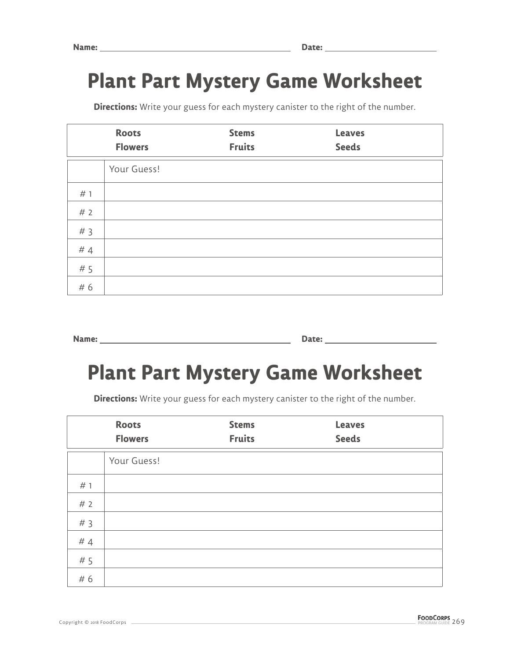# **Plant Part Mystery Game Worksheet**

**Directions:** Write your guess for each mystery canister to the right of the number.

|     | <b>Roots</b><br><b>Flowers</b> | <b>Stems</b><br><b>Fruits</b> | <b>Leaves</b><br><b>Seeds</b> |  |
|-----|--------------------------------|-------------------------------|-------------------------------|--|
|     | Your Guess!                    |                               |                               |  |
| # 1 |                                |                               |                               |  |
| #2  |                                |                               |                               |  |
| #3  |                                |                               |                               |  |
| #4  |                                |                               |                               |  |
| # 5 |                                |                               |                               |  |
| # 6 |                                |                               |                               |  |

**Name:** <u>Date:</u> **Date: Date: Date: Date: Date: Date: Date: Date: Date: Date: Date: Date: Date: Date: Date: Date: Date: Date: Date: Date: Date: Date: Date: Date: Date: Date:** 

## **Plant Part Mystery Game Worksheet**

**Directions:** Write your guess for each mystery canister to the right of the number.

|     | <b>Roots</b><br><b>Flowers</b> | <b>Stems</b><br><b>Fruits</b> | <b>Leaves</b><br><b>Seeds</b> |  |
|-----|--------------------------------|-------------------------------|-------------------------------|--|
|     | Your Guess!                    |                               |                               |  |
| # 1 |                                |                               |                               |  |
| #2  |                                |                               |                               |  |
| #3  |                                |                               |                               |  |
| #4  |                                |                               |                               |  |
| # 5 |                                |                               |                               |  |
| # 6 |                                |                               |                               |  |